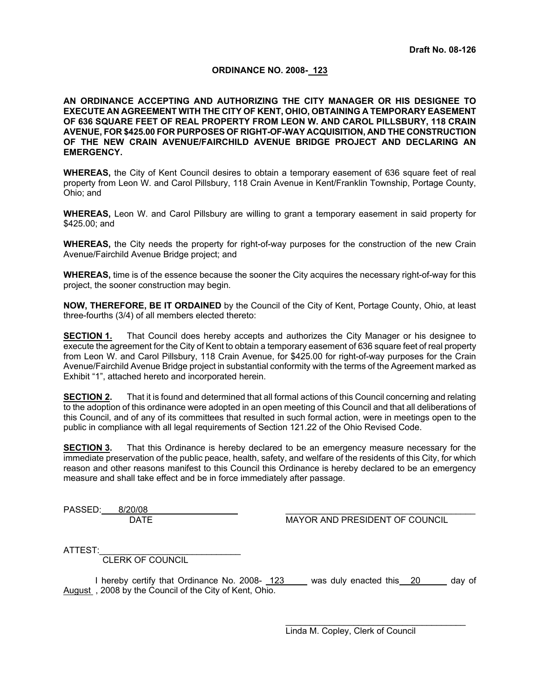# **ORDINANCE NO. 2008- 123**

**AN ORDINANCE ACCEPTING AND AUTHORIZING THE CITY MANAGER OR HIS DESIGNEE TO EXECUTE AN AGREEMENT WITH THE CITY OF KENT, OHIO, OBTAINING A TEMPORARY EASEMENT OF 636 SQUARE FEET OF REAL PROPERTY FROM LEON W. AND CAROL PILLSBURY, 118 CRAIN AVENUE, FOR \$425.00 FOR PURPOSES OF RIGHT-OF-WAY ACQUISITION, AND THE CONSTRUCTION OF THE NEW CRAIN AVENUE/FAIRCHILD AVENUE BRIDGE PROJECT AND DECLARING AN EMERGENCY.** 

**WHEREAS,** the City of Kent Council desires to obtain a temporary easement of 636 square feet of real property from Leon W. and Carol Pillsbury, 118 Crain Avenue in Kent/Franklin Township, Portage County, Ohio; and

**WHEREAS,** Leon W. and Carol Pillsbury are willing to grant a temporary easement in said property for \$425.00; and

**WHEREAS,** the City needs the property for right-of-way purposes for the construction of the new Crain Avenue/Fairchild Avenue Bridge project; and

**WHEREAS,** time is of the essence because the sooner the City acquires the necessary right-of-way for this project, the sooner construction may begin.

**NOW, THEREFORE, BE IT ORDAINED** by the Council of the City of Kent, Portage County, Ohio, at least three-fourths (3/4) of all members elected thereto:

**SECTION 1.** That Council does hereby accepts and authorizes the City Manager or his designee to execute the agreement for the City of Kent to obtain a temporary easement of 636 square feet of real property from Leon W. and Carol Pillsbury, 118 Crain Avenue, for \$425.00 for right-of-way purposes for the Crain Avenue/Fairchild Avenue Bridge project in substantial conformity with the terms of the Agreement marked as Exhibit "1", attached hereto and incorporated herein.

**SECTION 2.** That it is found and determined that all formal actions of this Council concerning and relating to the adoption of this ordinance were adopted in an open meeting of this Council and that all deliberations of this Council, and of any of its committees that resulted in such formal action, were in meetings open to the public in compliance with all legal requirements of Section 121.22 of the Ohio Revised Code.

**SECTION 3.** That this Ordinance is hereby declared to be an emergency measure necessary for the immediate preservation of the public peace, health, safety, and welfare of the residents of this City, for which reason and other reasons manifest to this Council this Ordinance is hereby declared to be an emergency measure and shall take effect and be in force immediately after passage.

PASSED: 8/20/08

DATE MAYOR AND PRESIDENT OF COUNCIL

ATTEST:

CLERK OF COUNCIL

I hereby certify that Ordinance No. 2008- 123 was duly enacted this 20 day of August , 2008 by the Council of the City of Kent, Ohio.

> \_\_\_\_\_\_\_\_\_\_\_\_\_\_\_\_\_\_\_\_\_\_\_\_\_\_\_\_\_\_\_\_\_\_\_\_\_ Linda M. Copley, Clerk of Council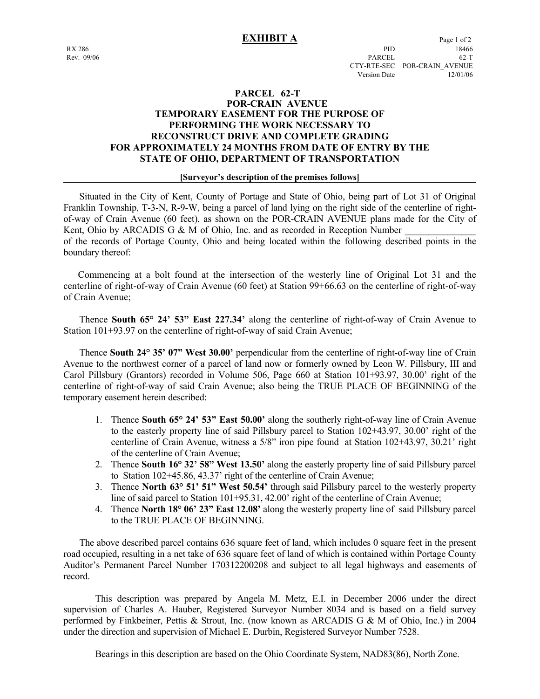# **PARCEL 62-T POR-CRAIN AVENUE TEMPORARY EASEMENT FOR THE PURPOSE OF PERFORMING THE WORK NECESSARY TO RECONSTRUCT DRIVE AND COMPLETE GRADING FOR APPROXIMATELY 24 MONTHS FROM DATE OF ENTRY BY THE STATE OF OHIO, DEPARTMENT OF TRANSPORTATION**

### **[Surveyor's description of the premises follows]**

 Situated in the City of Kent, County of Portage and State of Ohio, being part of Lot 31 of Original Franklin Township, T-3-N, R-9-W, being a parcel of land lying on the right side of the centerline of rightof-way of Crain Avenue (60 feet), as shown on the POR-CRAIN AVENUE plans made for the City of Kent, Ohio by ARCADIS G & M of Ohio, Inc. and as recorded in Reception Number of the records of Portage County, Ohio and being located within the following described points in the

boundary thereof:

 Commencing at a bolt found at the intersection of the westerly line of Original Lot 31 and the centerline of right-of-way of Crain Avenue (60 feet) at Station 99+66.63 on the centerline of right-of-way of Crain Avenue;

 Thence **South 65° 24' 53" East 227.34'** along the centerline of right-of-way of Crain Avenue to Station 101+93.97 on the centerline of right-of-way of said Crain Avenue;

 Thence **South 24° 35' 07" West 30.00'** perpendicular from the centerline of right-of-way line of Crain Avenue to the northwest corner of a parcel of land now or formerly owned by Leon W. Pillsbury, III and Carol Pillsbury (Grantors) recorded in Volume 506, Page 660 at Station 101+93.97, 30.00' right of the centerline of right-of-way of said Crain Avenue; also being the TRUE PLACE OF BEGINNING of the temporary easement herein described:

- 1. Thence **South 65° 24' 53" East 50.00'** along the southerly right-of-way line of Crain Avenue to the easterly property line of said Pillsbury parcel to Station 102+43.97, 30.00' right of the centerline of Crain Avenue, witness a 5/8" iron pipe found at Station 102+43.97, 30.21' right of the centerline of Crain Avenue;
- 2. Thence **South 16° 32' 58" West 13.50'** along the easterly property line of said Pillsbury parcel to Station 102+45.86, 43.37' right of the centerline of Crain Avenue;
- 3. Thence **North 63° 51' 51" West 50.54'** through said Pillsbury parcel to the westerly property line of said parcel to Station 101+95.31, 42.00' right of the centerline of Crain Avenue;
- 4. Thence **North 18° 06' 23" East 12.08'** along the westerly property line of said Pillsbury parcel to the TRUE PLACE OF BEGINNING.

 The above described parcel contains 636 square feet of land, which includes 0 square feet in the present road occupied, resulting in a net take of 636 square feet of land of which is contained within Portage County Auditor's Permanent Parcel Number 170312200208 and subject to all legal highways and easements of record.

 This description was prepared by Angela M. Metz, E.I. in December 2006 under the direct supervision of Charles A. Hauber, Registered Surveyor Number 8034 and is based on a field survey performed by Finkbeiner, Pettis & Strout, Inc. (now known as ARCADIS G & M of Ohio, Inc.) in 2004 under the direction and supervision of Michael E. Durbin, Registered Surveyor Number 7528.

Bearings in this description are based on the Ohio Coordinate System, NAD83(86), North Zone.